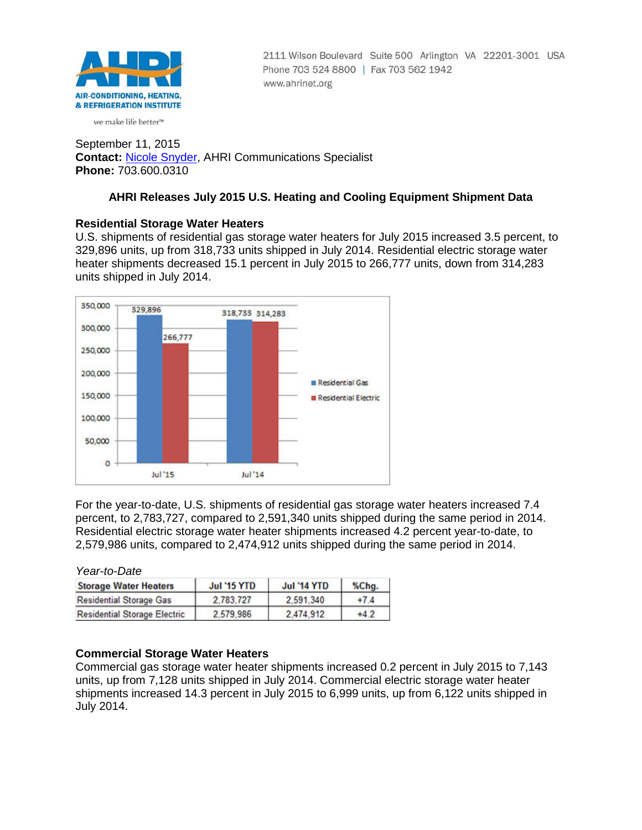

2111 Wilson Boulevard Suite 500 Arlington VA 22201-3001 USA Phone 703 524 8800 | Fax 703 562 1942 www.ahrinet.org

we make life better<sup>™</sup>

September 11, 2015 **Contact:** [Nicole Snyder,](mailto:nsnyder@ahrinet.org) AHRI Communications Specialist **Phone:** 703.600.0310

# **AHRI Releases July 2015 U.S. Heating and Cooling Equipment Shipment Data**

## **Residential Storage Water Heaters**

U.S. shipments of residential gas storage water heaters for July 2015 increased 3.5 percent, to 329,896 units, up from 318,733 units shipped in July 2014. Residential electric storage water heater shipments decreased 15.1 percent in July 2015 to 266,777 units, down from 314,283 units shipped in July 2014.



For the year-to-date, U.S. shipments of residential gas storage water heaters increased 7.4 percent, to 2,783,727, compared to 2,591,340 units shipped during the same period in 2014. Residential electric storage water heater shipments increased 4.2 percent year-to-date, to 2,579,986 units, compared to 2,474,912 units shipped during the same period in 2014.

*Year-to-Date*

| <b>Storage Water Heaters</b>        | <b>Jul '15 YTD</b> | <b>Jul '14 YTD</b> | %Chg.  |  |
|-------------------------------------|--------------------|--------------------|--------|--|
| <b>Residential Storage Gas</b>      | 2.783.727          | 2.591.340          | $+7.4$ |  |
| <b>Residential Storage Electric</b> | 2.579.986          | 2.474.912          | $+4.2$ |  |

## **Commercial Storage Water Heaters**

Commercial gas storage water heater shipments increased 0.2 percent in July 2015 to 7,143 units, up from 7,128 units shipped in July 2014. Commercial electric storage water heater shipments increased 14.3 percent in July 2015 to 6,999 units, up from 6,122 units shipped in July 2014.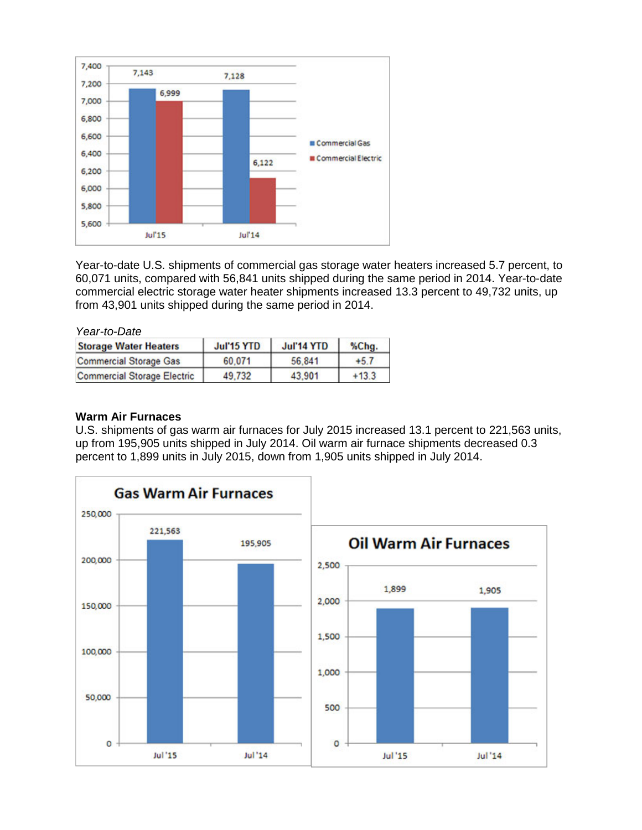

Year-to-date U.S. shipments of commercial gas storage water heaters increased 5.7 percent, to 60,071 units, compared with 56,841 units shipped during the same period in 2014. Year-to-date commercial electric storage water heater shipments increased 13.3 percent to 49,732 units, up from 43,901 units shipped during the same period in 2014.

| Year-to-Date                       |            |            |         |
|------------------------------------|------------|------------|---------|
| <b>Storage Water Heaters</b>       | Jul'15 YTD | Jul'14 YTD | %Chg.   |
| <b>Commercial Storage Gas</b>      | 60.071     | 56.841     | $+5.7$  |
| <b>Commercial Storage Electric</b> | 49.732     | 43.901     | $+13.3$ |

### **Warm Air Furnaces**

U.S. shipments of gas warm air furnaces for July 2015 increased 13.1 percent to 221,563 units, up from 195,905 units shipped in July 2014. Oil warm air furnace shipments decreased 0.3 percent to 1,899 units in July 2015, down from 1,905 units shipped in July 2014.

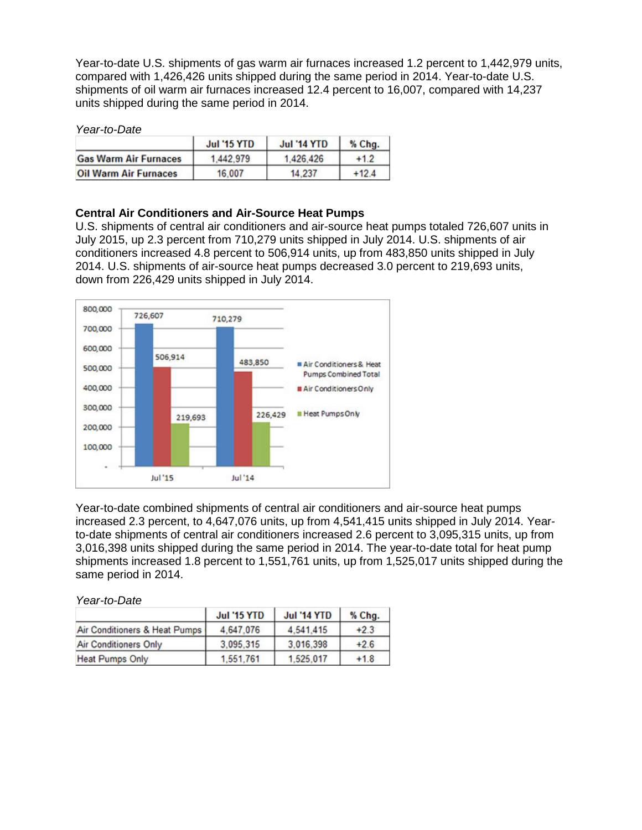Year-to-date U.S. shipments of gas warm air furnaces increased 1.2 percent to 1,442,979 units, compared with 1,426,426 units shipped during the same period in 2014. Year-to-date U.S. shipments of oil warm air furnaces increased 12.4 percent to 16,007, compared with 14,237 units shipped during the same period in 2014.

#### *Year-to-Date*

|                              | <b>Jul '15 YTD</b> | <b>Jul '14 YTD</b> | % Chg.  |  |
|------------------------------|--------------------|--------------------|---------|--|
| <b>Gas Warm Air Furnaces</b> | 1.442.979          | 1.426.426          | $+1.2$  |  |
| <b>Oil Warm Air Furnaces</b> | 16,007             | 14.237             | $+12.4$ |  |

### **Central Air Conditioners and Air-Source Heat Pumps**

U.S. shipments of central air conditioners and air-source heat pumps totaled 726,607 units in July 2015, up 2.3 percent from 710,279 units shipped in July 2014. U.S. shipments of air conditioners increased 4.8 percent to 506,914 units, up from 483,850 units shipped in July 2014. U.S. shipments of air-source heat pumps decreased 3.0 percent to 219,693 units, down from 226,429 units shipped in July 2014.



Year-to-date combined shipments of central air conditioners and air-source heat pumps increased 2.3 percent, to 4,647,076 units, up from 4,541,415 units shipped in July 2014. Yearto-date shipments of central air conditioners increased 2.6 percent to 3,095,315 units, up from 3,016,398 units shipped during the same period in 2014. The year-to-date total for heat pump shipments increased 1.8 percent to 1,551,761 units, up from 1,525,017 units shipped during the same period in 2014.

*Year-to-Date*

|                               | <b>Jul '15 YTD</b> | <b>Jul '14 YTD</b> | % Chg. |
|-------------------------------|--------------------|--------------------|--------|
| Air Conditioners & Heat Pumps | 4.647.076          | 4.541.415          | $+2.3$ |
| <b>Air Conditioners Only</b>  | 3,095,315          | 3,016,398          | $+2.6$ |
| <b>Heat Pumps Only</b>        | 1,551,761          | 1.525.017          | $+1.8$ |